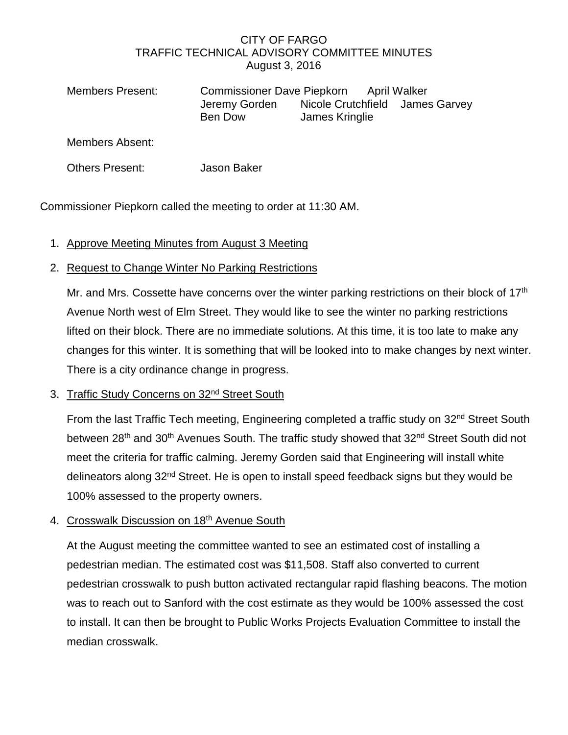#### CITY OF FARGO TRAFFIC TECHNICAL ADVISORY COMMITTEE MINUTES August 3, 2016

| Members Present: | Commissioner Dave Piepkorn April Walker |                |  |                                 |
|------------------|-----------------------------------------|----------------|--|---------------------------------|
|                  | Jeremy Gorden<br>Ben Dow                | James Kringlie |  | Nicole Crutchfield James Garvey |

Members Absent:

Others Present: Jason Baker

Commissioner Piepkorn called the meeting to order at 11:30 AM.

1. Approve Meeting Minutes from August 3 Meeting

# 2. Request to Change Winter No Parking Restrictions

Mr. and Mrs. Cossette have concerns over the winter parking restrictions on their block of 17<sup>th</sup> Avenue North west of Elm Street. They would like to see the winter no parking restrictions lifted on their block. There are no immediate solutions. At this time, it is too late to make any changes for this winter. It is something that will be looked into to make changes by next winter. There is a city ordinance change in progress.

## 3. Traffic Study Concerns on 32<sup>nd</sup> Street South

From the last Traffic Tech meeting, Engineering completed a traffic study on 32<sup>nd</sup> Street South between 28<sup>th</sup> and 30<sup>th</sup> Avenues South. The traffic study showed that 32<sup>nd</sup> Street South did not meet the criteria for traffic calming. Jeremy Gorden said that Engineering will install white delineators along 32<sup>nd</sup> Street. He is open to install speed feedback signs but they would be 100% assessed to the property owners.

## 4. Crosswalk Discussion on 18th Avenue South

At the August meeting the committee wanted to see an estimated cost of installing a pedestrian median. The estimated cost was \$11,508. Staff also converted to current pedestrian crosswalk to push button activated rectangular rapid flashing beacons. The motion was to reach out to Sanford with the cost estimate as they would be 100% assessed the cost to install. It can then be brought to Public Works Projects Evaluation Committee to install the median crosswalk.